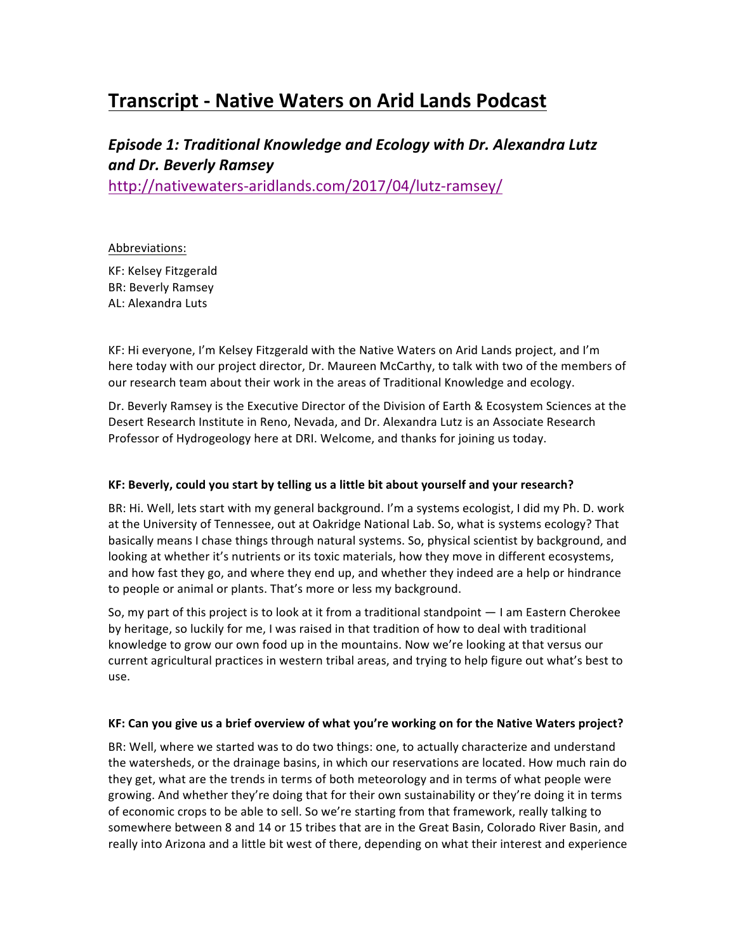# **Transcript - Native Waters on Arid Lands Podcast**

# *Episode 1: Traditional Knowledge and Ecology with Dr. Alexandra Lutz and Dr. Beverly Ramsey*

http://nativewaters-aridlands.com/2017/04/lutz-ramsey/

# Abbreviations:

KF: Kelsey Fitzgerald **BR: Beverly Ramsey** AL: Alexandra Luts

KF: Hi everyone, I'm Kelsey Fitzgerald with the Native Waters on Arid Lands project, and I'm here today with our project director, Dr. Maureen McCarthy, to talk with two of the members of our research team about their work in the areas of Traditional Knowledge and ecology.

Dr. Beverly Ramsey is the Executive Director of the Division of Earth & Ecosystem Sciences at the Desert Research Institute in Reno, Nevada, and Dr. Alexandra Lutz is an Associate Research Professor of Hydrogeology here at DRI. Welcome, and thanks for joining us today.

# KF: Beverly, could you start by telling us a little bit about yourself and your research?

BR: Hi. Well, lets start with my general background. I'm a systems ecologist, I did my Ph. D. work at the University of Tennessee, out at Oakridge National Lab. So, what is systems ecology? That basically means I chase things through natural systems. So, physical scientist by background, and looking at whether it's nutrients or its toxic materials, how they move in different ecosystems, and how fast they go, and where they end up, and whether they indeed are a help or hindrance to people or animal or plants. That's more or less my background.

So, my part of this project is to look at it from a traditional standpoint  $-1$  am Eastern Cherokee by heritage, so luckily for me, I was raised in that tradition of how to deal with traditional knowledge to grow our own food up in the mountains. Now we're looking at that versus our current agricultural practices in western tribal areas, and trying to help figure out what's best to use.

# KF: Can you give us a brief overview of what you're working on for the Native Waters project?

BR: Well, where we started was to do two things: one, to actually characterize and understand the watersheds, or the drainage basins, in which our reservations are located. How much rain do they get, what are the trends in terms of both meteorology and in terms of what people were growing. And whether they're doing that for their own sustainability or they're doing it in terms of economic crops to be able to sell. So we're starting from that framework, really talking to somewhere between 8 and 14 or 15 tribes that are in the Great Basin, Colorado River Basin, and really into Arizona and a little bit west of there, depending on what their interest and experience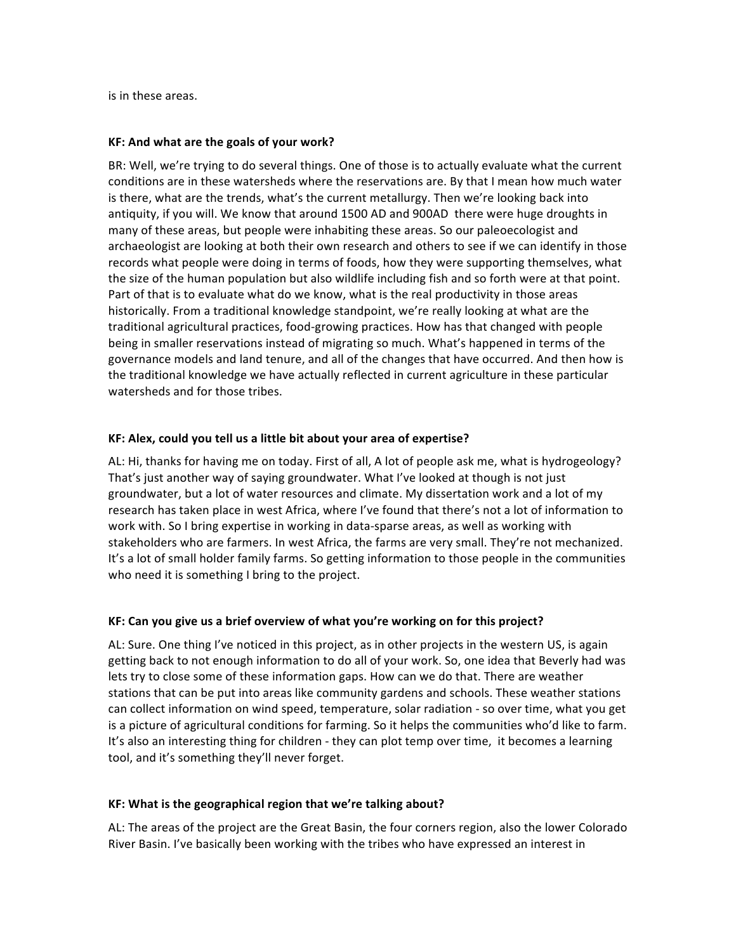is in these areas.

#### **KF: And what are the goals of your work?**

BR: Well, we're trying to do several things. One of those is to actually evaluate what the current conditions are in these watersheds where the reservations are. By that I mean how much water is there, what are the trends, what's the current metallurgy. Then we're looking back into antiquity, if you will. We know that around 1500 AD and 900AD there were huge droughts in many of these areas, but people were inhabiting these areas. So our paleoecologist and archaeologist are looking at both their own research and others to see if we can identify in those records what people were doing in terms of foods, how they were supporting themselves, what the size of the human population but also wildlife including fish and so forth were at that point. Part of that is to evaluate what do we know, what is the real productivity in those areas historically. From a traditional knowledge standpoint, we're really looking at what are the traditional agricultural practices, food-growing practices. How has that changed with people being in smaller reservations instead of migrating so much. What's happened in terms of the governance models and land tenure, and all of the changes that have occurred. And then how is the traditional knowledge we have actually reflected in current agriculture in these particular watersheds and for those tribes.

# **KF:** Alex, could you tell us a little bit about your area of expertise?

AL: Hi, thanks for having me on today. First of all, A lot of people ask me, what is hydrogeology? That's just another way of saying groundwater. What I've looked at though is not just groundwater, but a lot of water resources and climate. My dissertation work and a lot of my research has taken place in west Africa, where I've found that there's not a lot of information to work with. So I bring expertise in working in data-sparse areas, as well as working with stakeholders who are farmers. In west Africa, the farms are very small. They're not mechanized. It's a lot of small holder family farms. So getting information to those people in the communities who need it is something I bring to the project.

# KF: Can you give us a brief overview of what you're working on for this project?

AL: Sure. One thing I've noticed in this project, as in other projects in the western US, is again getting back to not enough information to do all of your work. So, one idea that Beverly had was lets try to close some of these information gaps. How can we do that. There are weather stations that can be put into areas like community gardens and schools. These weather stations can collect information on wind speed, temperature, solar radiation - so over time, what you get is a picture of agricultural conditions for farming. So it helps the communities who'd like to farm. It's also an interesting thing for children - they can plot temp over time, it becomes a learning tool, and it's something they'll never forget.

#### KF: What is the geographical region that we're talking about?

AL: The areas of the project are the Great Basin, the four corners region, also the lower Colorado River Basin. I've basically been working with the tribes who have expressed an interest in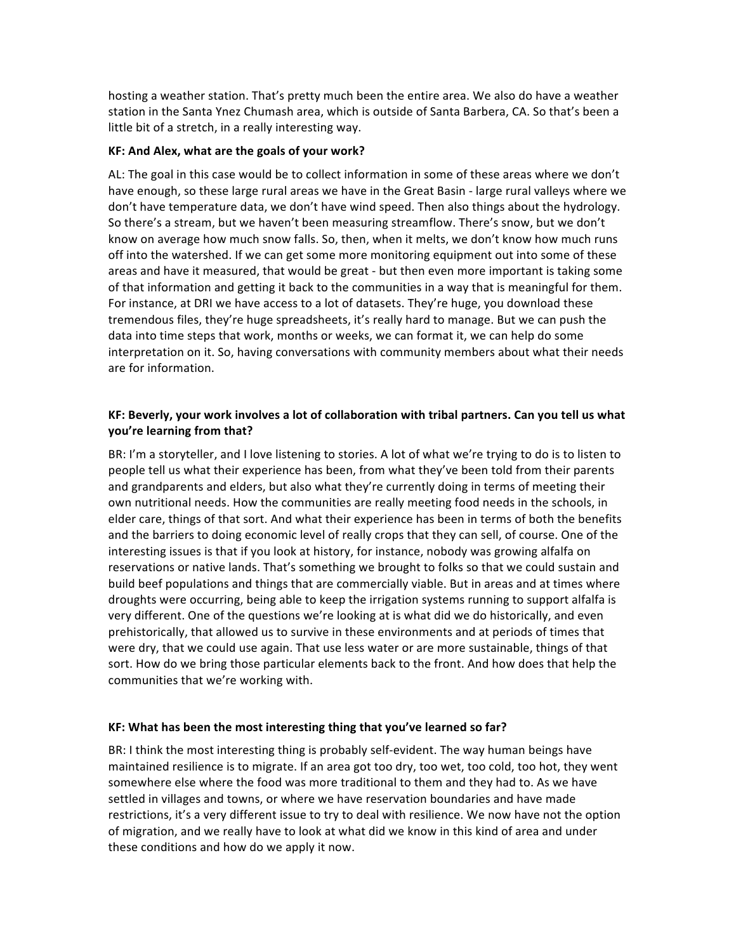hosting a weather station. That's pretty much been the entire area. We also do have a weather station in the Santa Ynez Chumash area, which is outside of Santa Barbera, CA. So that's been a little bit of a stretch, in a really interesting way.

#### KF: And Alex, what are the goals of your work?

AL: The goal in this case would be to collect information in some of these areas where we don't have enough, so these large rural areas we have in the Great Basin - large rural valleys where we don't have temperature data, we don't have wind speed. Then also things about the hydrology. So there's a stream, but we haven't been measuring streamflow. There's snow, but we don't know on average how much snow falls. So, then, when it melts, we don't know how much runs off into the watershed. If we can get some more monitoring equipment out into some of these areas and have it measured, that would be great - but then even more important is taking some of that information and getting it back to the communities in a way that is meaningful for them. For instance, at DRI we have access to a lot of datasets. They're huge, you download these tremendous files, they're huge spreadsheets, it's really hard to manage. But we can push the data into time steps that work, months or weeks, we can format it, we can help do some interpretation on it. So, having conversations with community members about what their needs are for information.

# KF: Beverly, your work involves a lot of collaboration with tribal partners. Can you tell us what **you're learning from that?**

BR: I'm a storyteller, and I love listening to stories. A lot of what we're trying to do is to listen to people tell us what their experience has been, from what they've been told from their parents and grandparents and elders, but also what they're currently doing in terms of meeting their own nutritional needs. How the communities are really meeting food needs in the schools, in elder care, things of that sort. And what their experience has been in terms of both the benefits and the barriers to doing economic level of really crops that they can sell, of course. One of the interesting issues is that if you look at history, for instance, nobody was growing alfalfa on reservations or native lands. That's something we brought to folks so that we could sustain and build beef populations and things that are commercially viable. But in areas and at times where droughts were occurring, being able to keep the irrigation systems running to support alfalfa is very different. One of the questions we're looking at is what did we do historically, and even prehistorically, that allowed us to survive in these environments and at periods of times that were dry, that we could use again. That use less water or are more sustainable, things of that sort. How do we bring those particular elements back to the front. And how does that help the communities that we're working with.

# KF: What has been the most interesting thing that you've learned so far?

BR: I think the most interesting thing is probably self-evident. The way human beings have maintained resilience is to migrate. If an area got too dry, too wet, too cold, too hot, they went somewhere else where the food was more traditional to them and they had to. As we have settled in villages and towns, or where we have reservation boundaries and have made restrictions, it's a very different issue to try to deal with resilience. We now have not the option of migration, and we really have to look at what did we know in this kind of area and under these conditions and how do we apply it now.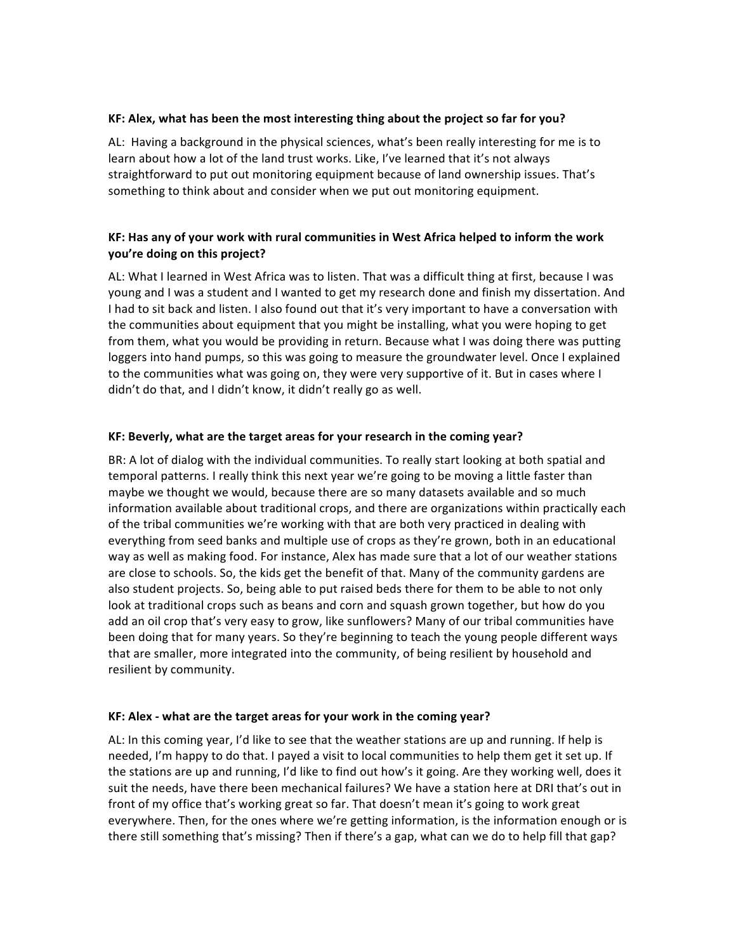#### KF: Alex, what has been the most interesting thing about the project so far for you?

AL: Having a background in the physical sciences, what's been really interesting for me is to learn about how a lot of the land trust works. Like, I've learned that it's not always straightforward to put out monitoring equipment because of land ownership issues. That's something to think about and consider when we put out monitoring equipment.

# KF: Has any of your work with rural communities in West Africa helped to inform the work **you're doing on this project?**

AL: What I learned in West Africa was to listen. That was a difficult thing at first, because I was young and I was a student and I wanted to get my research done and finish my dissertation. And I had to sit back and listen. I also found out that it's very important to have a conversation with the communities about equipment that you might be installing, what you were hoping to get from them, what you would be providing in return. Because what I was doing there was putting loggers into hand pumps, so this was going to measure the groundwater level. Once I explained to the communities what was going on, they were very supportive of it. But in cases where I didn't do that, and I didn't know, it didn't really go as well.

# KF: Beverly, what are the target areas for your research in the coming year?

BR: A lot of dialog with the individual communities. To really start looking at both spatial and temporal patterns. I really think this next year we're going to be moving a little faster than maybe we thought we would, because there are so many datasets available and so much information available about traditional crops, and there are organizations within practically each of the tribal communities we're working with that are both very practiced in dealing with everything from seed banks and multiple use of crops as they're grown, both in an educational way as well as making food. For instance, Alex has made sure that a lot of our weather stations are close to schools. So, the kids get the benefit of that. Many of the community gardens are also student projects. So, being able to put raised beds there for them to be able to not only look at traditional crops such as beans and corn and squash grown together, but how do you add an oil crop that's very easy to grow, like sunflowers? Many of our tribal communities have been doing that for many years. So they're beginning to teach the young people different ways that are smaller, more integrated into the community, of being resilient by household and resilient by community.

#### **KF:** Alex - what are the target areas for your work in the coming year?

AL: In this coming year, I'd like to see that the weather stations are up and running. If help is needed, I'm happy to do that. I payed a visit to local communities to help them get it set up. If the stations are up and running, I'd like to find out how's it going. Are they working well, does it suit the needs, have there been mechanical failures? We have a station here at DRI that's out in front of my office that's working great so far. That doesn't mean it's going to work great everywhere. Then, for the ones where we're getting information, is the information enough or is there still something that's missing? Then if there's a gap, what can we do to help fill that gap?